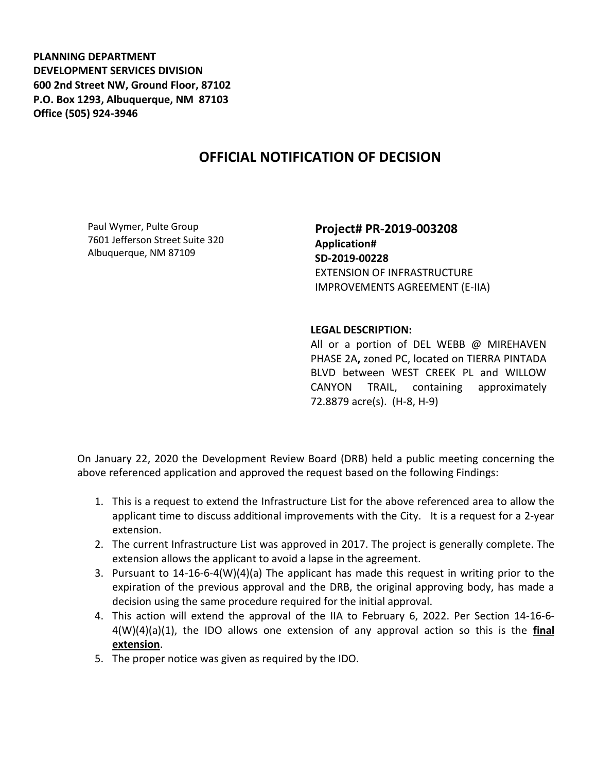**PLANNING DEPARTMENT DEVELOPMENT SERVICES DIVISION 600 2nd Street NW, Ground Floor, 87102 P.O. Box 1293, Albuquerque, NM 87103 Office (505) 924-3946** 

## **OFFICIAL NOTIFICATION OF DECISION**

Paul Wymer, Pulte Group 7601 Jefferson Street Suite 320 Albuquerque, NM 87109

**Project# PR-2019-003208 Application# SD-2019-00228** EXTENSION OF INFRASTRUCTURE IMPROVEMENTS AGREEMENT (E-IIA)

## **LEGAL DESCRIPTION:**

All or a portion of DEL WEBB @ MIREHAVEN PHASE 2A**,** zoned PC, located on TIERRA PINTADA BLVD between WEST CREEK PL and WILLOW CANYON TRAIL, containing approximately 72.8879 acre(s). (H-8, H-9)

On January 22, 2020 the Development Review Board (DRB) held a public meeting concerning the above referenced application and approved the request based on the following Findings:

- 1. This is a request to extend the Infrastructure List for the above referenced area to allow the applicant time to discuss additional improvements with the City. It is a request for a 2-year extension.
- 2. The current Infrastructure List was approved in 2017. The project is generally complete. The extension allows the applicant to avoid a lapse in the agreement.
- 3. Pursuant to 14-16-6-4(W)(4)(a) The applicant has made this request in writing prior to the expiration of the previous approval and the DRB, the original approving body, has made a decision using the same procedure required for the initial approval.
- 4. This action will extend the approval of the IIA to February 6, 2022. Per Section 14-16-6- 4(W)(4)(a)(1), the IDO allows one extension of any approval action so this is the **final extension**.
- 5. The proper notice was given as required by the IDO.